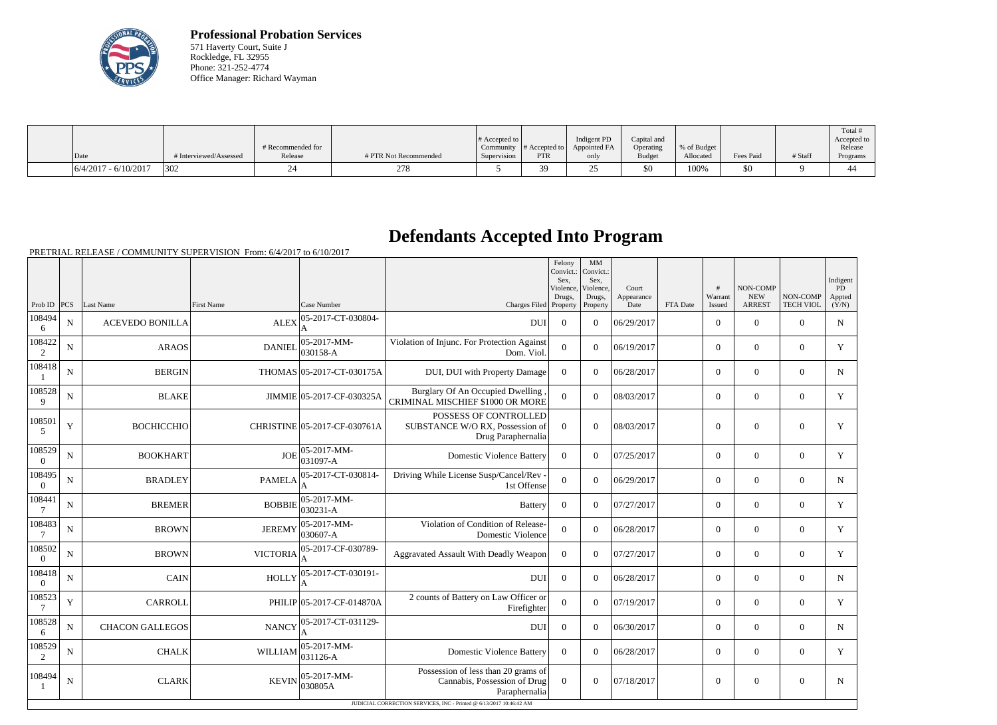

**Professional Probation Services** 571 Haverty Court, Suite J Rockledge, FL 32955 Phone: 321-252-4774 Office Manager: Richard Wayman

|                        |                        |                              |                       | $\#$ Accepted to $\ $ |            | Indigent PD                                         | Capital and                |                          |           |         | Total<br>Accepted to |
|------------------------|------------------------|------------------------------|-----------------------|-----------------------|------------|-----------------------------------------------------|----------------------------|--------------------------|-----------|---------|----------------------|
| Date                   | # Interviewed/Assessed | # Recommended for<br>Release | # PTR Not Recommended | Supervision           | <b>PTR</b> | Community $ #$ Accepted to $ $ Appointed FA<br>only | Operating<br><b>Budget</b> | % of Budget<br>Allocated | Fees Paid | # Staff | Release<br>Programs  |
| $6/4/2017 - 6/10/2017$ | 302                    |                              | 278                   |                       | 39         | $\sim$<br>∼                                         | \$0                        | 100%                     | \$0       |         | ⊶                    |

## **Defendants Accepted Into Program**

PRETRIAL RELEASE / COMMUNITY SUPERVISION From: 6/4/2017 to 6/10/2017

|                          |             |                        |                   |                              |                                                                                      | Felony<br>Convict.:<br>Sex.<br>Violence. | MM<br>Convict.:<br>Sex.<br>Violence. | Court              |          | #                 | NON-COMP                    |                              | Indigent<br>PD  |
|--------------------------|-------------|------------------------|-------------------|------------------------------|--------------------------------------------------------------------------------------|------------------------------------------|--------------------------------------|--------------------|----------|-------------------|-----------------------------|------------------------------|-----------------|
| Prob ID $ PCS$           |             | Last Name              | <b>First Name</b> | Case Number                  | Charges Filed                                                                        | Drugs,<br>Property                       | Drugs,<br>Property                   | Appearance<br>Date | FTA Date | Warrant<br>Issued | <b>NEW</b><br><b>ARREST</b> | NON-COMP<br><b>TECH VIOL</b> | Appted<br>(Y/N) |
| 108494<br>6              | N           | <b>ACEVEDO BONILLA</b> | <b>ALEX</b>       | 05-2017-CT-030804-           | <b>DUI</b>                                                                           | $\overline{0}$                           | $\overline{0}$                       | 06/29/2017         |          | $\boldsymbol{0}$  | $\boldsymbol{0}$            | $\overline{0}$               | $\mathbf N$     |
| 108422<br>$\overline{2}$ | N           | <b>ARAOS</b>           | <b>DANIEL</b>     | 05-2017-MM-<br>030158-A      | Violation of Injunc. For Protection Against<br>Dom. Viol.                            | $\theta$                                 | $\theta$                             | 06/19/2017         |          | $\overline{0}$    | $\theta$                    | $\theta$                     | Y               |
| 108418                   | N           | <b>BERGIN</b>          |                   | THOMAS 05-2017-CT-030175A    | DUI, DUI with Property Damage                                                        | $\Omega$                                 | $\Omega$                             | 06/28/2017         |          | $\theta$          | $\theta$                    | $\theta$                     | N               |
| 108528<br>9              | N           | <b>BLAKE</b>           |                   | JIMMIE 05-2017-CF-030325A    | Burglary Of An Occupied Dwelling<br>CRIMINAL MISCHIEF \$1000 OR MORE                 | $\overline{0}$                           | $\theta$                             | 08/03/2017         |          | $\mathbf{0}$      | $\mathbf{0}$                | $\mathbf{0}$                 | $\mathbf Y$     |
| 108501<br>5              | Y           | <b>BOCHICCHIO</b>      |                   | CHRISTINE 05-2017-CF-030761A | POSSESS OF CONTROLLED<br>SUBSTANCE W/O RX, Possession of<br>Drug Paraphernalia       | $\theta$                                 | $\Omega$                             | 08/03/2017         |          | $\boldsymbol{0}$  | $\mathbf{0}$                | $\overline{0}$               | $\mathbf Y$     |
| 108529<br>$\Omega$       | N           | <b>BOOKHART</b>        | <b>JOE</b>        | 05-2017-MM-<br>031097-A      | <b>Domestic Violence Battery</b>                                                     | $\Omega$                                 | $\theta$                             | 07/25/2017         |          | $\overline{0}$    | $\mathbf{0}$                | $\overline{0}$               | Y               |
| 108495<br>$\theta$       | N           | <b>BRADLEY</b>         | <b>PAMELA</b>     | 05-2017-CT-030814-           | Driving While License Susp/Cancel/Rev -<br>1st Offense                               | $\overline{0}$                           | $\theta$                             | 06/29/2017         |          | $\overline{0}$    | $\theta$                    | $\overline{0}$               | $\mathbf N$     |
| 108441                   | N           | <b>BREMER</b>          | <b>BOBBIE</b>     | 05-2017-MM-<br>030231-A      | <b>Battery</b>                                                                       | $\theta$                                 | $\theta$                             | 07/27/2017         |          | $\overline{0}$    | $\theta$                    | $\mathbf{0}$                 | Y               |
| 108483<br>7              | $\mathbf N$ | <b>BROWN</b>           | <b>JEREMY</b>     | 05-2017-MM-<br>030607-A      | Violation of Condition of Release-<br>Domestic Violence                              | $\overline{0}$                           | $\boldsymbol{0}$                     | 06/28/2017         |          | $\boldsymbol{0}$  | $\mathbf{0}$                | $\mathbf{0}$                 | Y               |
| 108502<br>$\overline{0}$ | N           | <b>BROWN</b>           | <b>VICTORIA</b>   | 05-2017-CF-030789-           | Aggravated Assault With Deadly Weapon                                                | $\overline{0}$                           | $\overline{0}$                       | 07/27/2017         |          | $\overline{0}$    | $\boldsymbol{0}$            | $\mathbf{0}$                 | Y               |
| 108418<br>$\overline{0}$ | N           | CAIN                   | <b>HOLLY</b>      | 05-2017-CT-030191-           | DUI                                                                                  | $\Omega$                                 | $\Omega$                             | 06/28/2017         |          | $\theta$          | $\theta$                    | $\theta$                     | N               |
| 108523<br>$\overline{7}$ | Y           | <b>CARROLL</b>         |                   | PHILIP 05-2017-CF-014870A    | 2 counts of Battery on Law Officer or<br>Firefighter                                 | $\overline{0}$                           | $\theta$                             | 07/19/2017         |          | $\overline{0}$    | $\theta$                    | $\overline{0}$               | Y               |
| 108528<br>6              | $\mathbf N$ | <b>CHACON GALLEGOS</b> | <b>NANCY</b>      | 05-2017-CT-031129-<br>A      | <b>DUI</b>                                                                           | $\theta$                                 | $\theta$                             | 06/30/2017         |          | $\theta$          | $\mathbf{0}$                | $\overline{0}$               | $\mathbf N$     |
| 108529<br>$\overline{2}$ | N           | <b>CHALK</b>           | <b>WILLIAM</b>    | 05-2017-MM-<br>031126-A      | <b>Domestic Violence Battery</b>                                                     | $\Omega$                                 | $\Omega$                             | 06/28/2017         |          | $\theta$          | $\mathbf{0}$                | $\overline{0}$               | $\mathbf Y$     |
| 108494                   | N           | <b>CLARK</b>           | <b>KEVIN</b>      | 05-2017-MM-<br>030805A       | Possession of less than 20 grams of<br>Cannabis, Possession of Drug<br>Paraphernalia | $\Omega$                                 | $\Omega$                             | 07/18/2017         |          | $\overline{0}$    | $\mathbf{0}$                | $\boldsymbol{0}$             | $\mathbf N$     |
|                          |             |                        |                   |                              | JUDICIAL CORRECTION SERVICES, INC - Printed @ 6/13/2017 10:46:42 AM                  |                                          |                                      |                    |          |                   |                             |                              |                 |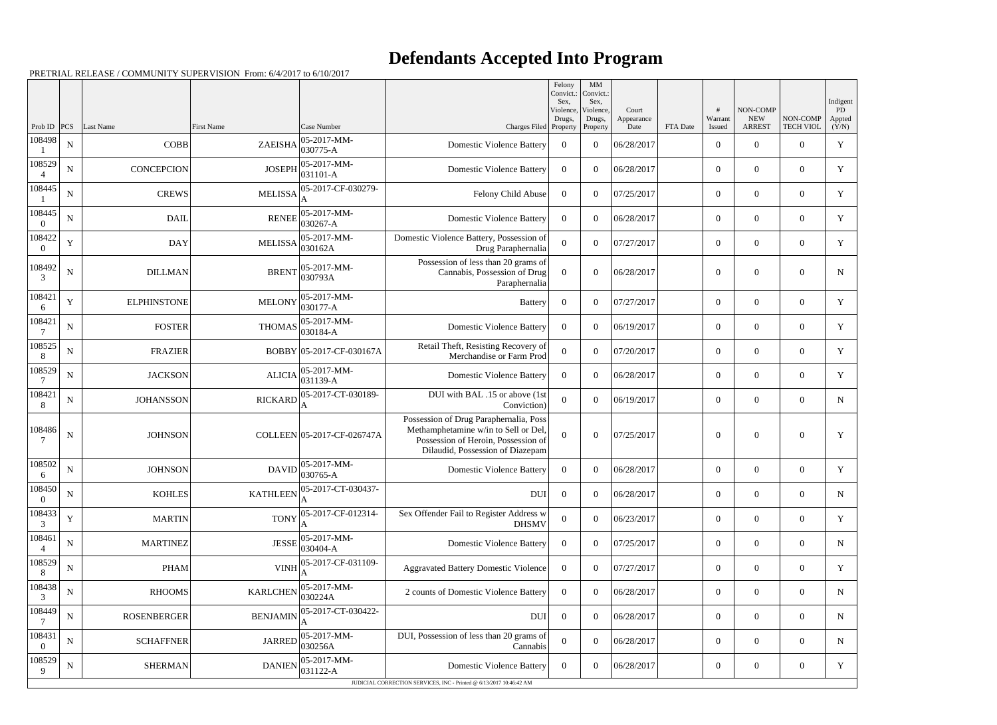## **Defendants Accepted Into Program**

PRETRIAL RELEASE / COMMUNITY SUPERVISION From: 6/4/2017 to 6/10/2017

|                    |             |                    |                   |                                                      |                                                                                                                                                           | Felony<br>Convict.:<br>Sex. | MM<br>Convict.:<br>Sex, |                     |          |                  |                        |                  | Indigent            |
|--------------------|-------------|--------------------|-------------------|------------------------------------------------------|-----------------------------------------------------------------------------------------------------------------------------------------------------------|-----------------------------|-------------------------|---------------------|----------|------------------|------------------------|------------------|---------------------|
|                    |             |                    |                   |                                                      |                                                                                                                                                           | Violence,<br>Drugs,         | Violence,<br>Drugs,     | Court<br>Appearance |          | #<br>Warrant     | NON-COMP<br><b>NEW</b> | NON-COMP         | <b>PD</b><br>Appted |
| Prob ID            | PCS         | Last Name          | <b>First Name</b> | Case Number                                          | Charges Filed Property                                                                                                                                    |                             | Property                | Date                | FTA Date | Issued           | <b>ARREST</b>          | <b>TECH VIOL</b> | (Y/N)               |
| 108498             | ${\bf N}$   | <b>COBB</b>        | ZAEISHA           | 05-2017-MM-<br>$ 030775-A$                           | <b>Domestic Violence Battery</b>                                                                                                                          | $\overline{0}$              | $\Omega$                | 06/28/2017          |          | $\overline{0}$   | $\Omega$               | $\Omega$         | Y                   |
| 108529             | N           | <b>CONCEPCION</b>  | <b>JOSEPH</b>     | $ 05-2017-MM-$<br>$ 031101 - A$                      | <b>Domestic Violence Battery</b>                                                                                                                          | $\Omega$                    | $\Omega$                | 06/28/2017          |          | $\mathbf{0}$     | $\overline{0}$         | $\Omega$         | Y                   |
| 108445             | ${\bf N}$   | <b>CREWS</b>       | <b>MELISSA</b>    | 05-2017-CF-030279-                                   | Felony Child Abuse                                                                                                                                        | $\overline{0}$              | $\Omega$                | 07/25/2017          |          | $\overline{0}$   | $\Omega$               | $\Omega$         | Y                   |
| 108445             | N           | <b>DAIL</b>        | <b>RENEE</b>      | 05-2017-MM-<br>030267-A                              | <b>Domestic Violence Battery</b>                                                                                                                          | $\Omega$                    | $\Omega$                | 06/28/2017          |          | $\overline{0}$   | $\overline{0}$         | $\Omega$         | Y                   |
| 108422<br>$\theta$ | Y           | <b>DAY</b>         | <b>MELISSA</b>    | 05-2017-MM-<br>030162A                               | Domestic Violence Battery, Possession of<br>Drug Paraphernalia                                                                                            | $\theta$                    | $\theta$                | 07/27/2017          |          | $\overline{0}$   | $\Omega$               | $\Omega$         | Y                   |
| 108492<br>3        | N           | <b>DILLMAN</b>     | <b>BRENT</b>      | 05-2017-MM-<br>030793A                               | Possession of less than 20 grams of<br>Cannabis, Possession of Drug<br>Paraphernalia                                                                      | $\Omega$                    | $\Omega$                | 06/28/2017          |          | $\overline{0}$   | $\overline{0}$         | $\Omega$         | N                   |
| 108421<br>6        | Y           | <b>ELPHINSTONE</b> | <b>MELONY</b>     | 05-2017-MM-<br>030177-A                              | Battery                                                                                                                                                   | $\overline{0}$              | $\Omega$                | 07/27/2017          |          | $\overline{0}$   | $\Omega$               | $\theta$         | Y                   |
| 108421             | N           | <b>FOSTER</b>      | <b>THOMAS</b>     | 05-2017-MM-<br>030184-A                              | <b>Domestic Violence Battery</b>                                                                                                                          | $\Omega$                    | $\Omega$                | 06/19/2017          |          | $\overline{0}$   | $\overline{0}$         | $\overline{0}$   | Y                   |
| 108525<br>8        | $\mathbf N$ | <b>FRAZIER</b>     |                   | BOBBY 05-2017-CF-030167A                             | Retail Theft, Resisting Recovery of<br>Merchandise or Farm Prod                                                                                           | $\overline{0}$              | $\theta$                | 07/20/2017          |          | $\overline{0}$   | $\overline{0}$         | $\theta$         | Y                   |
| 108529             | N           | <b>JACKSON</b>     | <b>ALICIA</b>     | 05-2017-MM-<br>$ 031139-A$                           | <b>Domestic Violence Battery</b>                                                                                                                          | $\Omega$                    | $\Omega$                | 06/28/2017          |          | $\overline{0}$   | $\overline{0}$         | $\Omega$         | Y                   |
| 108421<br>8        | $\mathbf N$ | <b>JOHANSSON</b>   | <b>RICKARD</b>    | 05-2017-CT-030189-<br>A                              | DUI with BAL .15 or above (1st<br>Conviction)                                                                                                             | $\theta$                    | $\theta$                | 06/19/2017          |          | $\overline{0}$   | $\overline{0}$         | $\theta$         | N                   |
| 108486             | N           | <b>JOHNSON</b>     |                   | COLLEEN 05-2017-CF-026747A                           | Possession of Drug Paraphernalia, Poss<br>Methamphetamine w/in to Sell or Del,<br>Possession of Heroin, Possession of<br>Dilaudid, Possession of Diazepam | $\boldsymbol{0}$            | $\overline{0}$          | 07/25/2017          |          | $\overline{0}$   | $\overline{0}$         | $\Omega$         | Y                   |
| 108502<br>6        | $\mathbf N$ | <b>JOHNSON</b>     | <b>DAVID</b>      | 05-2017-MM-<br>030765-A                              | <b>Domestic Violence Battery</b>                                                                                                                          | $\overline{0}$              | $\theta$                | 06/28/2017          |          | $\overline{0}$   | $\overline{0}$         | $\overline{0}$   | Y                   |
| 108450             | ${\bf N}$   | <b>KOHLES</b>      |                   | $\text{KATHLEEN}\Big \text{05-2017-CT-030437-}\Big $ | DUI                                                                                                                                                       | $\boldsymbol{0}$            | $\mathbf{0}$            | 06/28/2017          |          | $\boldsymbol{0}$ | $\boldsymbol{0}$       | $\mathbf{0}$     | N                   |
| 108433<br>3        | Y           | <b>MARTIN</b>      | <b>TONY</b>       | 05-2017-CF-012314-                                   | Sex Offender Fail to Register Address w<br><b>DHSMV</b>                                                                                                   | $\boldsymbol{0}$            | $\overline{0}$          | 06/23/2017          |          | $\overline{0}$   | $\boldsymbol{0}$       | $\overline{0}$   | Y                   |
| 108461             | N           | <b>MARTINEZ</b>    | <b>JESSE</b>      | 05-2017-MM-<br>030404-A                              | <b>Domestic Violence Battery</b>                                                                                                                          | $\Omega$                    | $\overline{0}$          | 07/25/2017          |          | $\overline{0}$   | $\boldsymbol{0}$       | $\overline{0}$   | N                   |
| 108529<br>8        | ${\bf N}$   | <b>PHAM</b>        | <b>VINH</b>       | 05-2017-CF-031109-                                   | <b>Aggravated Battery Domestic Violence</b>                                                                                                               | $\overline{0}$              | $\mathbf{0}$            | 07/27/2017          |          | $\overline{0}$   | $\boldsymbol{0}$       | $\overline{0}$   | Y                   |
| 108438<br>3        | ${\bf N}$   | <b>RHOOMS</b>      | <b>KARLCHEN</b>   | 05-2017-MM-<br>030224A                               | 2 counts of Domestic Violence Battery                                                                                                                     | $\overline{0}$              | $\overline{0}$          | 06/28/2017          |          | $\mathbf{0}$     | $\boldsymbol{0}$       | $\overline{0}$   | N                   |
| 108449             | ${\bf N}$   | <b>ROSENBERGER</b> | <b>BENJAMIN</b>   | 05-2017-CT-030422-                                   | <b>DUI</b>                                                                                                                                                | $\overline{0}$              | $\boldsymbol{0}$        | 06/28/2017          |          | $\boldsymbol{0}$ | $\overline{0}$         | $\overline{0}$   | N                   |
| 108431             | $\mathbf N$ | <b>SCHAFFNER</b>   | <b>JARRED</b>     | 05-2017-MM-<br>030256A                               | DUI, Possession of less than 20 grams of<br>Cannabis                                                                                                      | $\overline{0}$              | $\overline{0}$          | 06/28/2017          |          | $\boldsymbol{0}$ | $\boldsymbol{0}$       | $\overline{0}$   | N                   |
| 108529<br>9        | $\mathbf N$ | <b>SHERMAN</b>     | <b>DANIEN</b>     | 05-2017-MM-<br>031122-A                              | <b>Domestic Violence Battery</b>                                                                                                                          | $\overline{0}$              | $\boldsymbol{0}$        | 06/28/2017          |          | $\boldsymbol{0}$ | $\overline{0}$         | $\overline{0}$   | Y                   |
|                    |             |                    |                   |                                                      | JUDICIAL CORRECTION SERVICES, INC - Printed @ 6/13/2017 10:46:42 AM                                                                                       |                             |                         |                     |          |                  |                        |                  |                     |